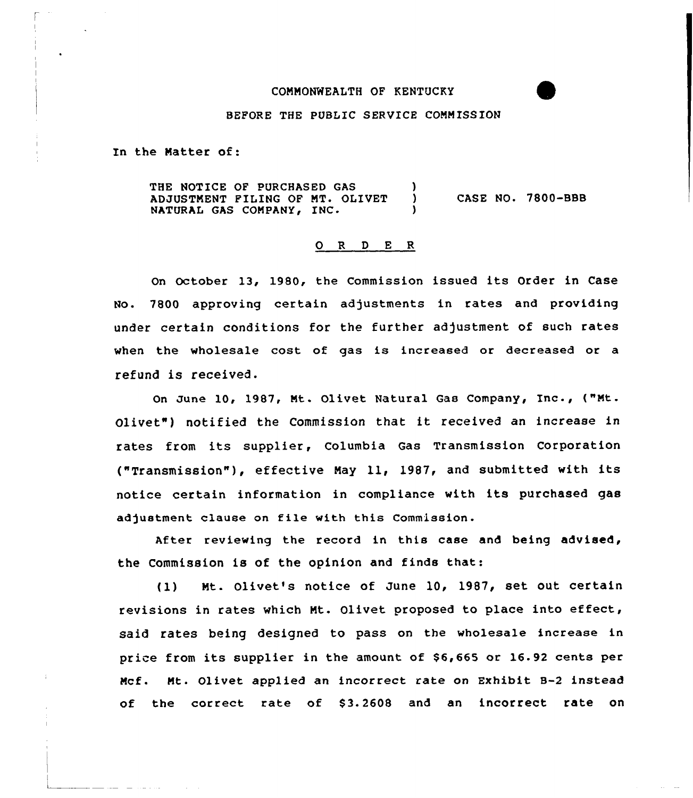## COMMONWEALTH OF KENTUCKY

### BEFORE THE PUBLIC SERUICE CONNISS ION

In the Natter of:

THE NOTICE OF PURCHASED GAS (3) ADJUSTMENT FILING OF MT. OLIVET NATURAL GAS COMPANY, INC. CASE NO. 7800-BBB

#### 0 R <sup>D</sup> E <sup>R</sup>

On October 13, 1980, the Commission issued its Order in Case No. 7800 approving certain adjustments in rates and providing under certain conditions for the further adjustment of such rates when the wholesale cost of gas is increased or decreased or a refund is received.

On June 10, 1987, Mt. Olivet Natural Gas Company, Inc., ("Nt. Olivet") notified the Commission that it received an increase in rates from its supplier, Columbia Gas Transmission Corporation ("Transmission"), effective May 11, 1987, and submitted with its notice certain information in compliance with its purchased gas adjustment clause on file with this Commission.

After reviewing the record in this case and being advised, the Commission is of the opinion and finds that:

(1) Nt. Olivet's notice of June 10, 1987, set out certain revisions in rates which Nt. Olivet proposed to place into effect, said rates being designed to pass on the wholesale increase in price from its supplier in the amount of \$6,665 ar 16.92 cents per Ncf. Nt. Olivet applied an incorrect rate on Exhibit B-2 instead of the correct rate of S3.2608 and an incorrect rate on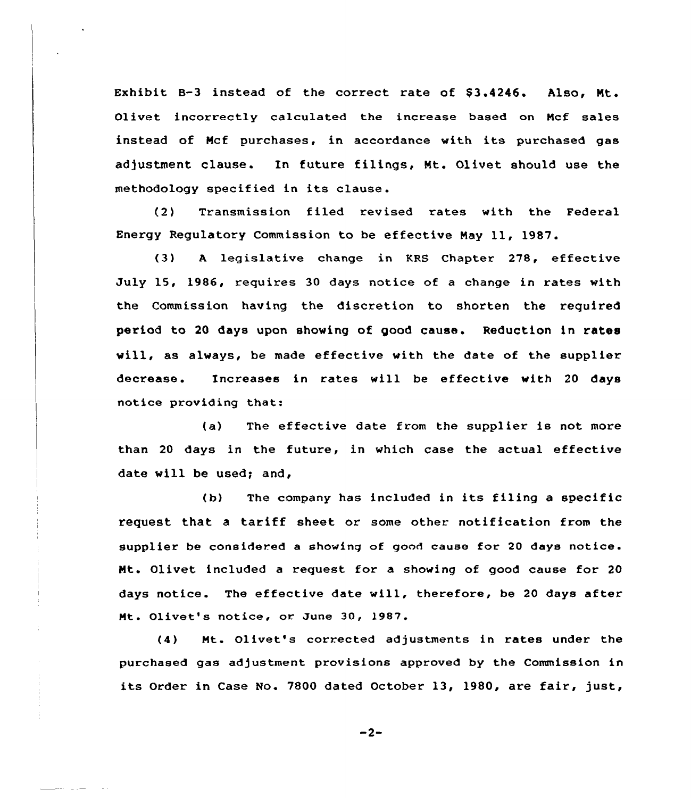Exhibit B-3 instead of the correct rate of  $$3.4246$ . Also, Mt. Olivet incorrectly calculated the increase based on Ncf sales instead of Ncf purchases, in accordance with its purchased gas adjustment clause. In future filings, Mt. Olivet should use the methodology specified in its clause.

(2) Transmission filed revised rates with the Federal Energy Regulatory Commission to be effective May ll, 1987.

(3) <sup>A</sup> legislative change in KRS Chapter 278, effective July 15, 1986, requires 30 days notice of a change in rates with the Commission having the discretion to shorten the required period to 20 days upon shoving of good cause. Reduction in rates vill, as always, be made effective with the date of the supplier decrease. Increases in rates will be effective with 20 days notice providing that:

(a) The effective date from the supplier is not more than 20 days in the future, in which case the actual effective date will be used; and,

(b) The company has included in its filing <sup>a</sup> specific request that <sup>a</sup> tariff sheet or some other notification from the supplier be considered a showing of good cause for 20 days notice. Ht. Olivet included a request for a showing of good cause for 20 days notice. The effective date vill, therefore, be <sup>20</sup> days after Ht. Olivet's notice, or June 30, 1987.

(4) Ht. Olivet's corrected adjustments in rates under the purchased gas adjustment provisions approved by the Commission in its Order in Case No. 7800 dated October 13, 1980, are fair, just,

 $-2-$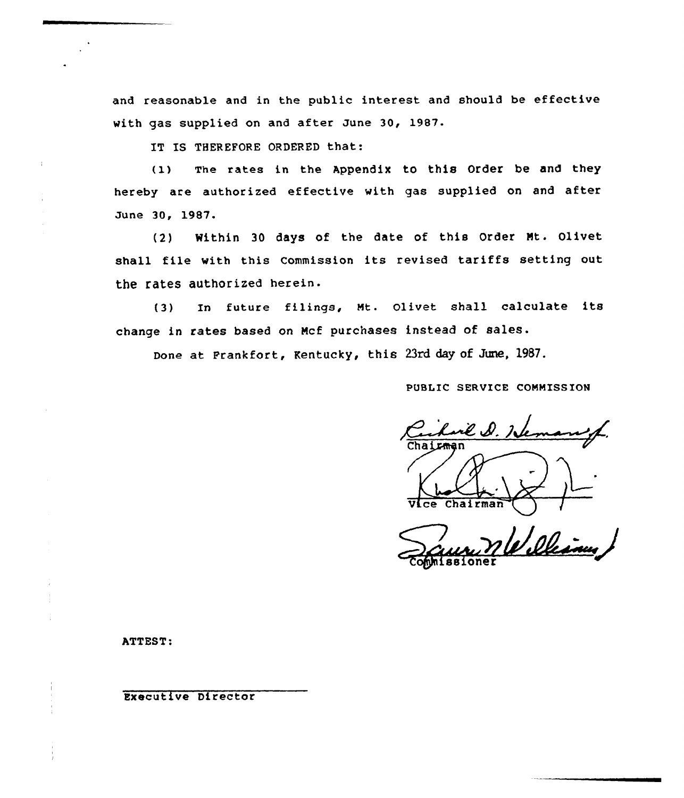and reasonable and in the public interest and should be effective with gas supplied on and after June 30, 1987.

IT IS THEREFORE ORDERED that:

(I) The rates in the Appendix to this order be and they hereby are authorized effective with gas supplied on and after June 30, 1987.

(2) Within 30 days of the date of this Order Nt. Olivet shall file with this Commission its revised tariffs setting out the rates authorized herein.

(3) In future filings, Mt. olivet shall calculate its change in rates based on Mcf purchases instead of sales.

Done at Frankfort, Kentucky, this 23rd day of June, 1987.

PUBLIC SERVICE CONMISS ION

rk D. J**r** .ce Chairman

William omnissione

ATTEST:

Executive Director